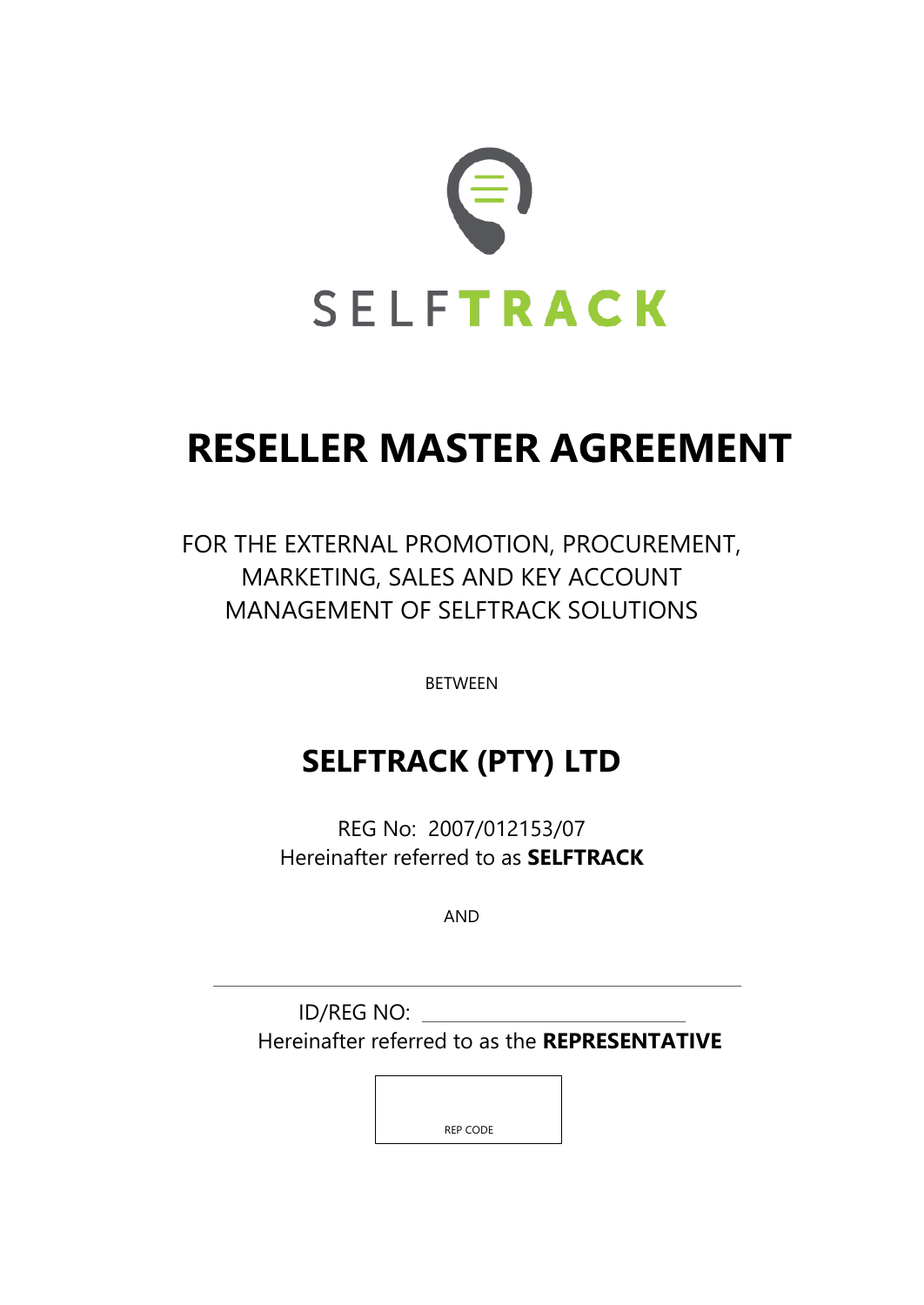

# **RESELLER MASTER AGREEMENT**

FOR THE EXTERNAL PROMOTION, PROCUREMENT, MARKETING, SALES AND KEY ACCOUNT MANAGEMENT OF SELFTRACK SOLUTIONS

BETWEEN

## **SELFTRACK (PTY) LTD**

REG No: 2007/012153/07 Hereinafter referred to as **SELFTRACK**

AND

ID/REG NO: Hereinafter referred to as the **REPRESENTATIVE**

REP CODE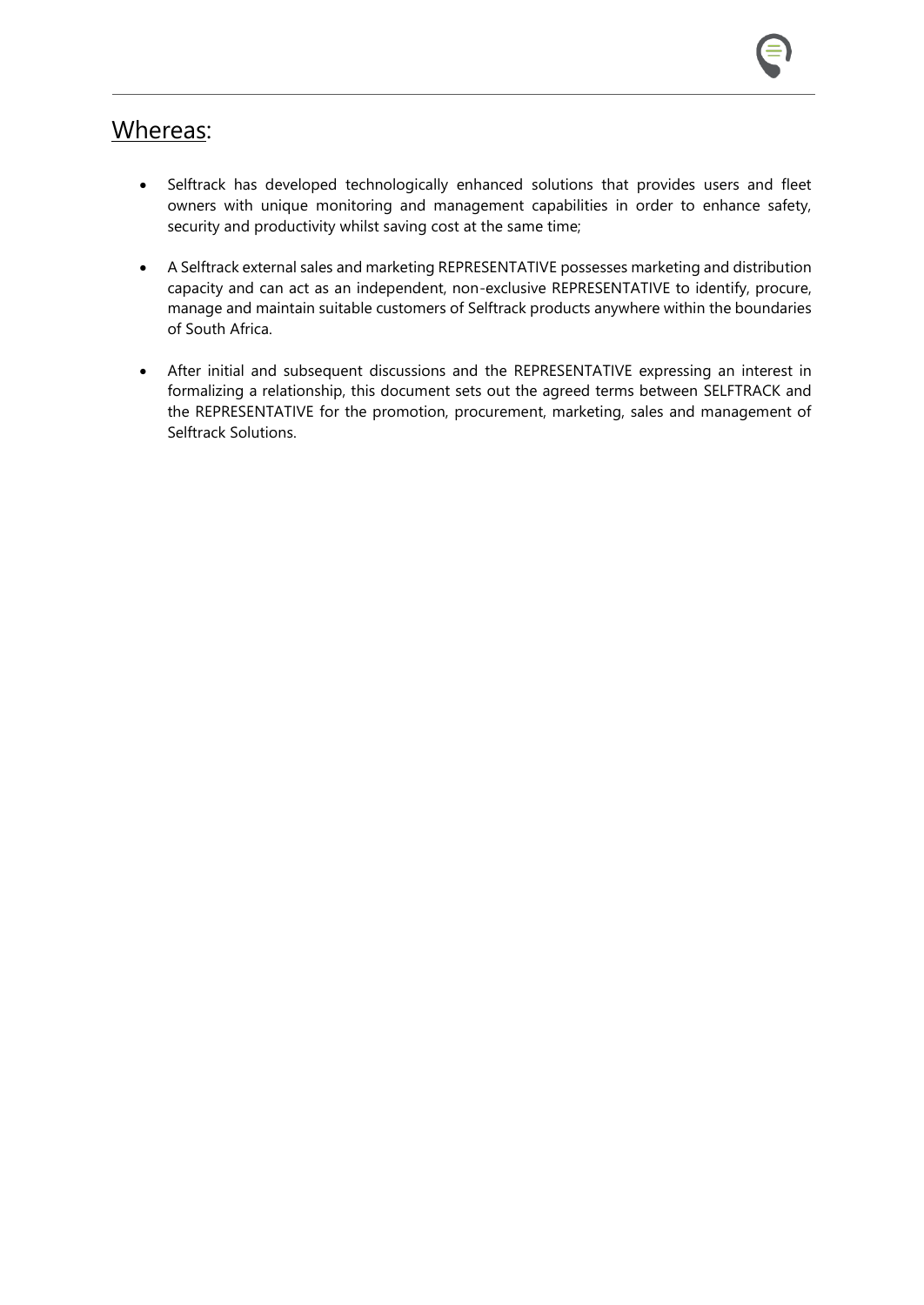### Whereas:

- Selftrack has developed technologically enhanced solutions that provides users and fleet owners with unique monitoring and management capabilities in order to enhance safety, security and productivity whilst saving cost at the same time;
- A Selftrack external sales and marketing REPRESENTATIVE possesses marketing and distribution capacity and can act as an independent, non-exclusive REPRESENTATIVE to identify, procure, manage and maintain suitable customers of Selftrack products anywhere within the boundaries of South Africa.
- After initial and subsequent discussions and the REPRESENTATIVE expressing an interest in formalizing a relationship, this document sets out the agreed terms between SELFTRACK and the REPRESENTATIVE for the promotion, procurement, marketing, sales and management of Selftrack Solutions.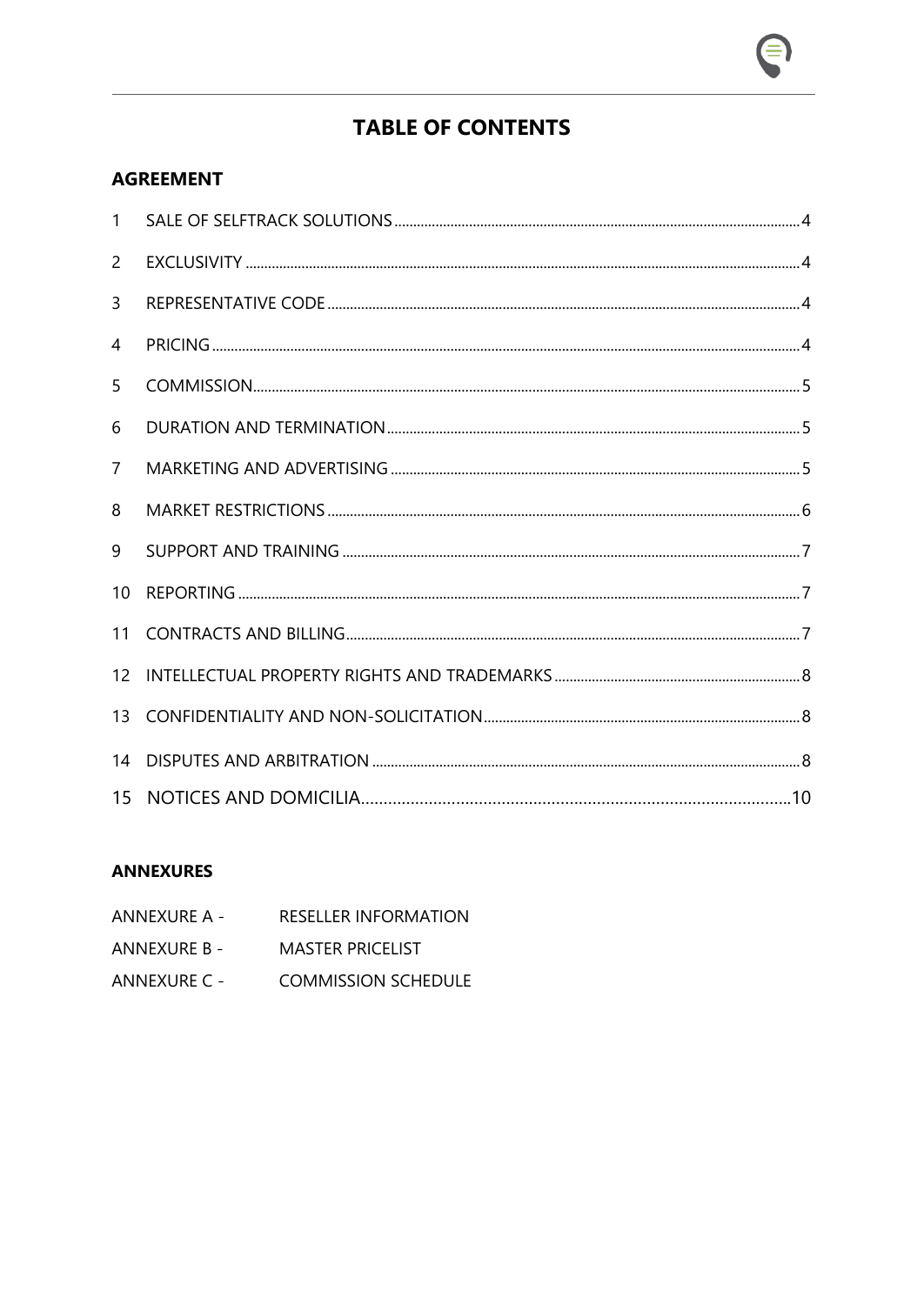### **TABLE OF CONTENTS**

### **AGREEMENT**

| 1               |  |
|-----------------|--|
| $\overline{2}$  |  |
| $\overline{3}$  |  |
| 4               |  |
| 5               |  |
| 6               |  |
| $\overline{7}$  |  |
| 8               |  |
| 9               |  |
| 10 <sup>°</sup> |  |
| 11              |  |
| 12 <sup>2</sup> |  |
|                 |  |
| 14              |  |
|                 |  |

#### **ANNEXURES**

ANNEXURE A - RESELLER INFORMATION ANNEXURE B - MASTER PRICELIST ANNEXURE C - COMMISSION SCHEDULE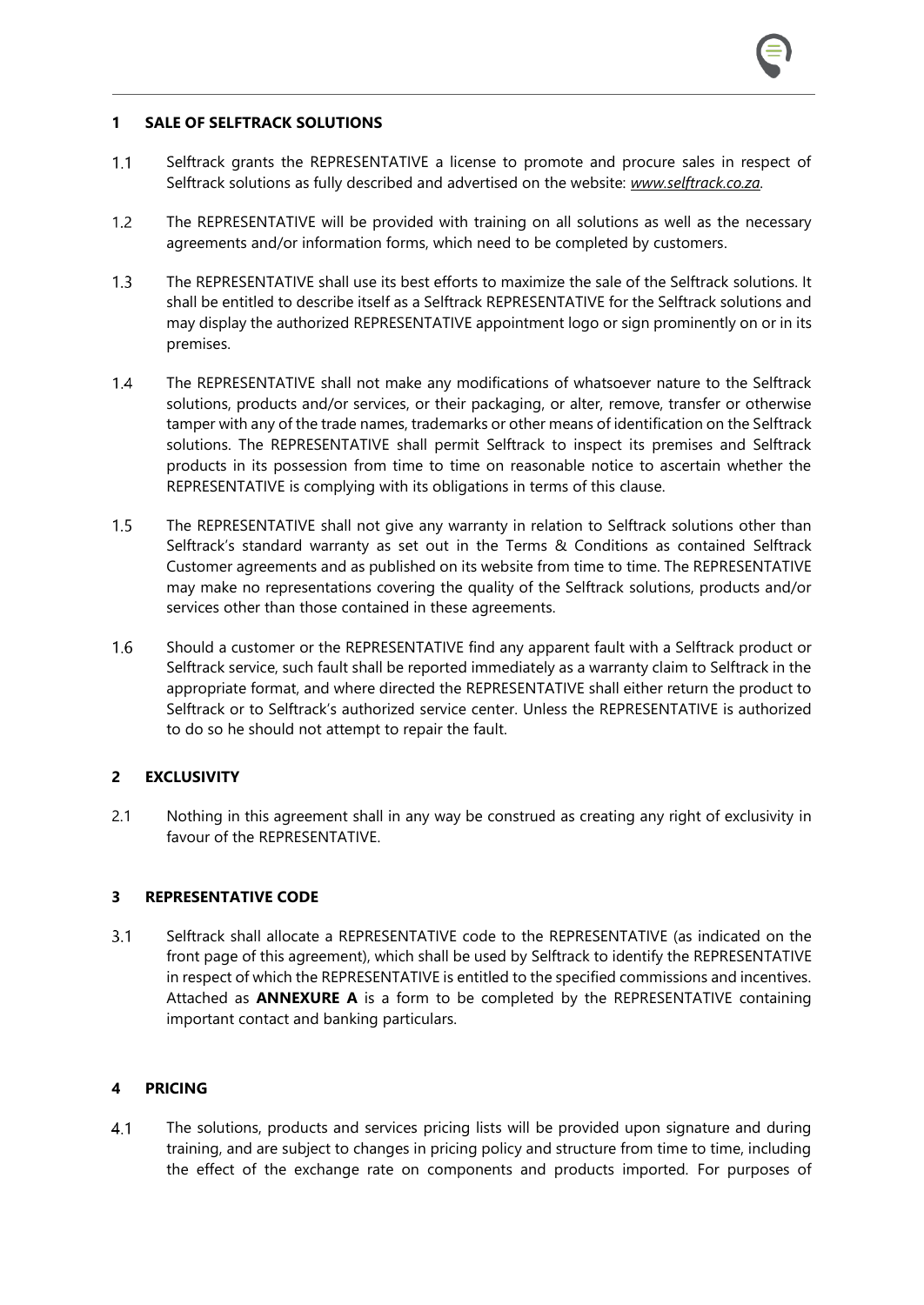#### **1 SALE OF SELFTRACK SOLUTIONS**

- $1.1$ Selftrack grants the REPRESENTATIVE a license to promote and procure sales in respect of Selftrack solutions as fully described and advertised on the website: *[www.selftrack.co.za.](http://www.selftrack.co.za/)*
- $1.2$ The REPRESENTATIVE will be provided with training on all solutions as well as the necessary agreements and/or information forms, which need to be completed by customers.
- $1.3$ The REPRESENTATIVE shall use its best efforts to maximize the sale of the Selftrack solutions. It shall be entitled to describe itself as a Selftrack REPRESENTATIVE for the Selftrack solutions and may display the authorized REPRESENTATIVE appointment logo or sign prominently on or in its premises.
- $1,4$ The REPRESENTATIVE shall not make any modifications of whatsoever nature to the Selftrack solutions, products and/or services, or their packaging, or alter, remove, transfer or otherwise tamper with any of the trade names, trademarks or other means of identification on the Selftrack solutions. The REPRESENTATIVE shall permit Selftrack to inspect its premises and Selftrack products in its possession from time to time on reasonable notice to ascertain whether the REPRESENTATIVE is complying with its obligations in terms of this clause.
- $1.5$ The REPRESENTATIVE shall not give any warranty in relation to Selftrack solutions other than Selftrack's standard warranty as set out in the Terms & Conditions as contained Selftrack Customer agreements and as published on its website from time to time. The REPRESENTATIVE may make no representations covering the quality of the Selftrack solutions, products and/or services other than those contained in these agreements.
- $1.6$ Should a customer or the REPRESENTATIVE find any apparent fault with a Selftrack product or Selftrack service, such fault shall be reported immediately as a warranty claim to Selftrack in the appropriate format, and where directed the REPRESENTATIVE shall either return the product to Selftrack or to Selftrack's authorized service center. Unless the REPRESENTATIVE is authorized to do so he should not attempt to repair the fault.

#### **2 EXCLUSIVITY**

2.1 Nothing in this agreement shall in any way be construed as creating any right of exclusivity in favour of the REPRESENTATIVE.

#### **3 REPRESENTATIVE CODE**

 $3.1$ Selftrack shall allocate a REPRESENTATIVE code to the REPRESENTATIVE (as indicated on the front page of this agreement), which shall be used by Selftrack to identify the REPRESENTATIVE in respect of which the REPRESENTATIVE is entitled to the specified commissions and incentives. Attached as **ANNEXURE A** is a form to be completed by the REPRESENTATIVE containing important contact and banking particulars.

#### **4 PRICING**

 $4.1$ The solutions, products and services pricing lists will be provided upon signature and during training, and are subject to changes in pricing policy and structure from time to time, including the effect of the exchange rate on components and products imported. For purposes of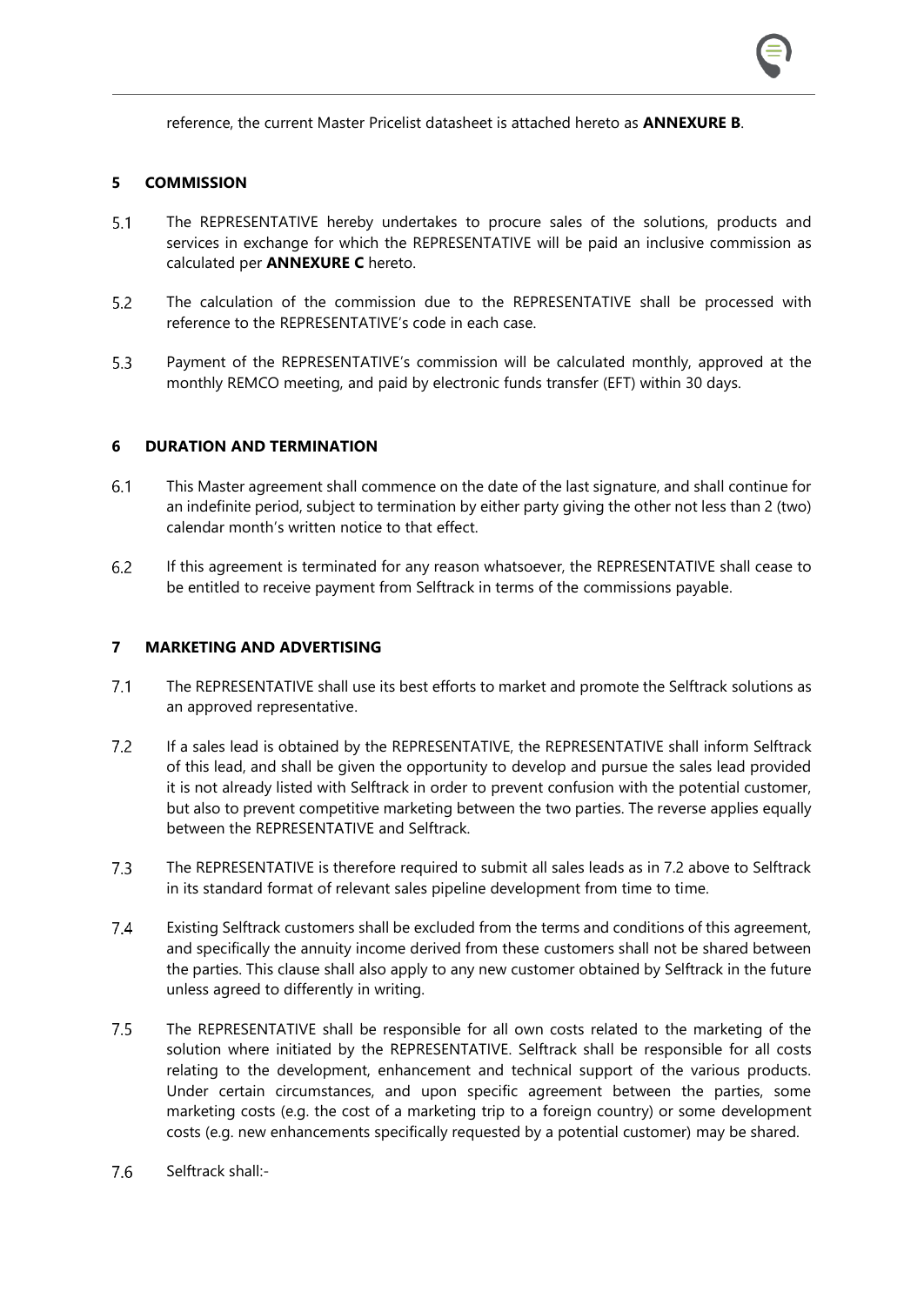reference, the current Master Pricelist datasheet is attached hereto as **ANNEXURE B**.

#### **5 COMMISSION**

- $5.1$ The REPRESENTATIVE hereby undertakes to procure sales of the solutions, products and services in exchange for which the REPRESENTATIVE will be paid an inclusive commission as calculated per **ANNEXURE C** hereto.
- $5.2$ The calculation of the commission due to the REPRESENTATIVE shall be processed with reference to the REPRESENTATIVE's code in each case.
- $5.3$ Payment of the REPRESENTATIVE's commission will be calculated monthly, approved at the monthly REMCO meeting, and paid by electronic funds transfer (EFT) within 30 days.

#### **6 DURATION AND TERMINATION**

- $6.1$ This Master agreement shall commence on the date of the last signature, and shall continue for an indefinite period, subject to termination by either party giving the other not less than 2 (two) calendar month's written notice to that effect.
- $6.2$ If this agreement is terminated for any reason whatsoever, the REPRESENTATIVE shall cease to be entitled to receive payment from Selftrack in terms of the commissions payable.

#### **7 MARKETING AND ADVERTISING**

- $7.1$ The REPRESENTATIVE shall use its best efforts to market and promote the Selftrack solutions as an approved representative.
- $7.2$ If a sales lead is obtained by the REPRESENTATIVE, the REPRESENTATIVE shall inform Selftrack of this lead, and shall be given the opportunity to develop and pursue the sales lead provided it is not already listed with Selftrack in order to prevent confusion with the potential customer, but also to prevent competitive marketing between the two parties. The reverse applies equally between the REPRESENTATIVE and Selftrack.
- $7.3$ The REPRESENTATIVE is therefore required to submit all sales leads as in 7.2 above to Selftrack in its standard format of relevant sales pipeline development from time to time.
- $7.4$ Existing Selftrack customers shall be excluded from the terms and conditions of this agreement, and specifically the annuity income derived from these customers shall not be shared between the parties. This clause shall also apply to any new customer obtained by Selftrack in the future unless agreed to differently in writing.
- $7.5$ The REPRESENTATIVE shall be responsible for all own costs related to the marketing of the solution where initiated by the REPRESENTATIVE. Selftrack shall be responsible for all costs relating to the development, enhancement and technical support of the various products. Under certain circumstances, and upon specific agreement between the parties, some marketing costs (e.g. the cost of a marketing trip to a foreign country) or some development costs (e.g. new enhancements specifically requested by a potential customer) may be shared.
- 7.6 Selftrack shall:-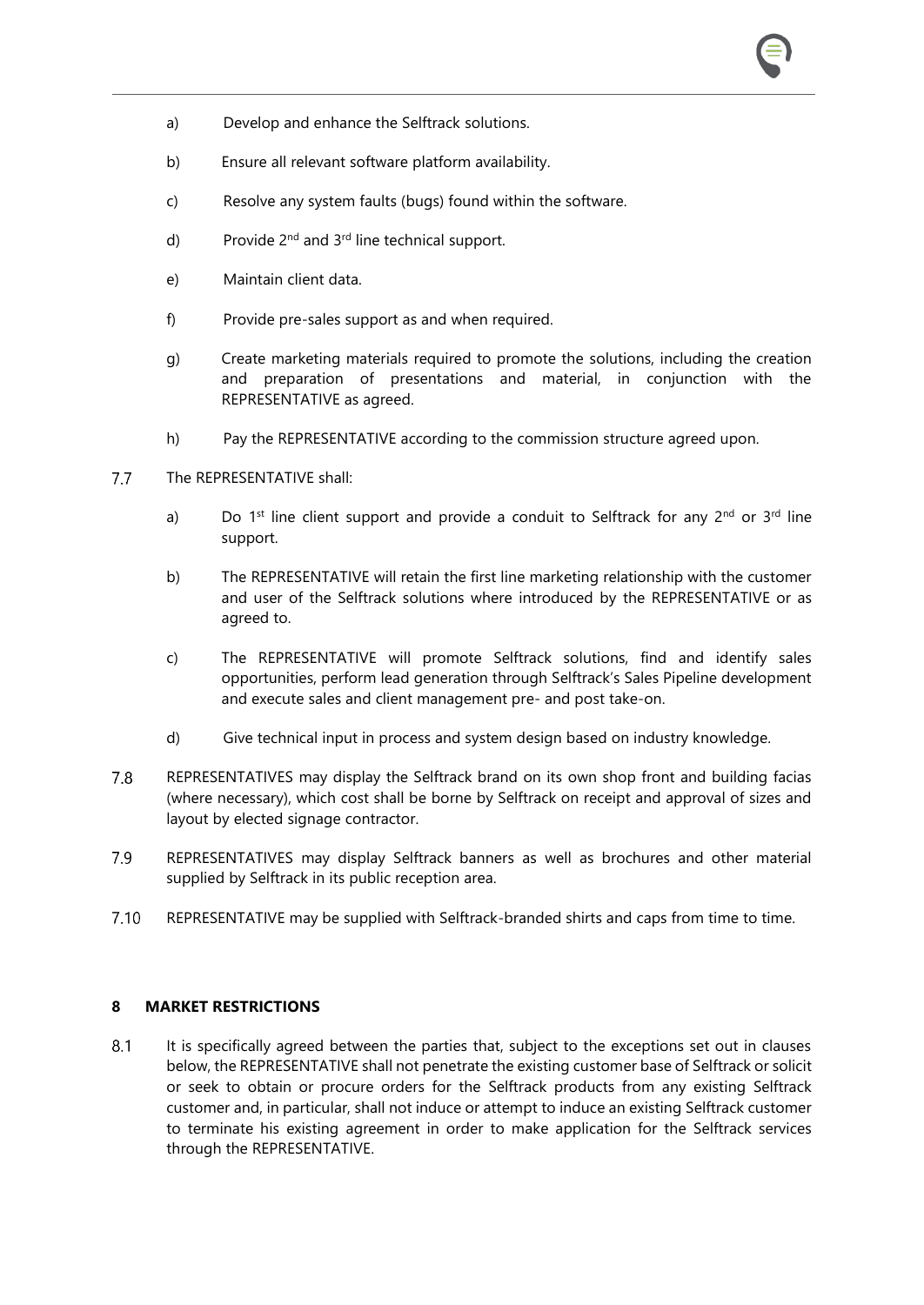- a) Develop and enhance the Selftrack solutions.
- b) Ensure all relevant software platform availability.
- c) Resolve any system faults (bugs) found within the software.
- d) Provide  $2^{nd}$  and  $3^{rd}$  line technical support.
- e) Maintain client data.
- f) Provide pre-sales support as and when required.
- g) Create marketing materials required to promote the solutions, including the creation and preparation of presentations and material, in conjunction with the REPRESENTATIVE as agreed.
- h) Pay the REPRESENTATIVE according to the commission structure agreed upon.

#### $7.7$ The REPRESENTATIVE shall:

- a) Do 1<sup>st</sup> line client support and provide a conduit to Selftrack for any  $2^{nd}$  or  $3^{rd}$  line support.
- b) The REPRESENTATIVE will retain the first line marketing relationship with the customer and user of the Selftrack solutions where introduced by the REPRESENTATIVE or as agreed to.
- c) The REPRESENTATIVE will promote Selftrack solutions, find and identify sales opportunities, perform lead generation through Selftrack's Sales Pipeline development and execute sales and client management pre- and post take-on.
- d) Give technical input in process and system design based on industry knowledge.
- 7.8 REPRESENTATIVES may display the Selftrack brand on its own shop front and building facias (where necessary), which cost shall be borne by Selftrack on receipt and approval of sizes and layout by elected signage contractor.
- 7.9 REPRESENTATIVES may display Selftrack banners as well as brochures and other material supplied by Selftrack in its public reception area.
- $7.10$ REPRESENTATIVE may be supplied with Selftrack-branded shirts and caps from time to time.

#### **8 MARKET RESTRICTIONS**

8.1 It is specifically agreed between the parties that, subject to the exceptions set out in clauses below, the REPRESENTATIVE shall not penetrate the existing customer base of Selftrack or solicit or seek to obtain or procure orders for the Selftrack products from any existing Selftrack customer and, in particular, shall not induce or attempt to induce an existing Selftrack customer to terminate his existing agreement in order to make application for the Selftrack services through the REPRESENTATIVE.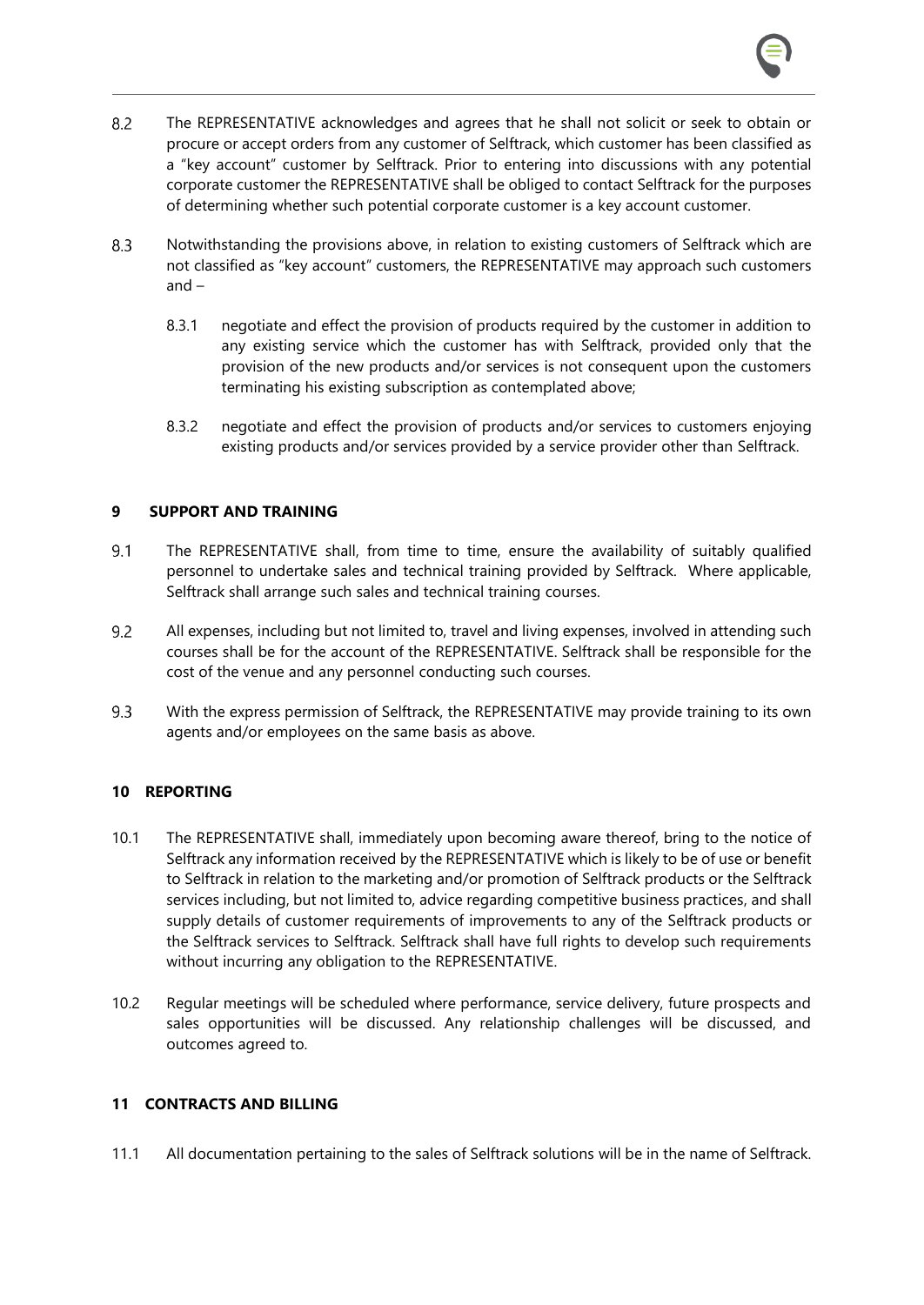- $8.2$ The REPRESENTATIVE acknowledges and agrees that he shall not solicit or seek to obtain or procure or accept orders from any customer of Selftrack, which customer has been classified as a "key account" customer by Selftrack. Prior to entering into discussions with any potential corporate customer the REPRESENTATIVE shall be obliged to contact Selftrack for the purposes of determining whether such potential corporate customer is a key account customer.
- Notwithstanding the provisions above, in relation to existing customers of Selftrack which are  $8.3$ not classified as "key account" customers, the REPRESENTATIVE may approach such customers and –
	- 8.3.1 negotiate and effect the provision of products required by the customer in addition to any existing service which the customer has with Selftrack, provided only that the provision of the new products and/or services is not consequent upon the customers terminating his existing subscription as contemplated above;
	- 8.3.2 negotiate and effect the provision of products and/or services to customers enjoying existing products and/or services provided by a service provider other than Selftrack.

#### **9 SUPPORT AND TRAINING**

- The REPRESENTATIVE shall, from time to time, ensure the availability of suitably qualified  $9.1$ personnel to undertake sales and technical training provided by Selftrack. Where applicable, Selftrack shall arrange such sales and technical training courses.
- 9.2 All expenses, including but not limited to, travel and living expenses, involved in attending such courses shall be for the account of the REPRESENTATIVE. Selftrack shall be responsible for the cost of the venue and any personnel conducting such courses.
- $9.3$ With the express permission of Selftrack, the REPRESENTATIVE may provide training to its own agents and/or employees on the same basis as above.

#### **10 REPORTING**

- 10.1 The REPRESENTATIVE shall, immediately upon becoming aware thereof, bring to the notice of Selftrack any information received by the REPRESENTATIVE which is likely to be of use or benefit to Selftrack in relation to the marketing and/or promotion of Selftrack products or the Selftrack services including, but not limited to, advice regarding competitive business practices, and shall supply details of customer requirements of improvements to any of the Selftrack products or the Selftrack services to Selftrack. Selftrack shall have full rights to develop such requirements without incurring any obligation to the REPRESENTATIVE.
- 10.2 Regular meetings will be scheduled where performance, service delivery, future prospects and sales opportunities will be discussed. Any relationship challenges will be discussed, and outcomes agreed to.

#### **11 CONTRACTS AND BILLING**

11.1 All documentation pertaining to the sales of Selftrack solutions will be in the name of Selftrack.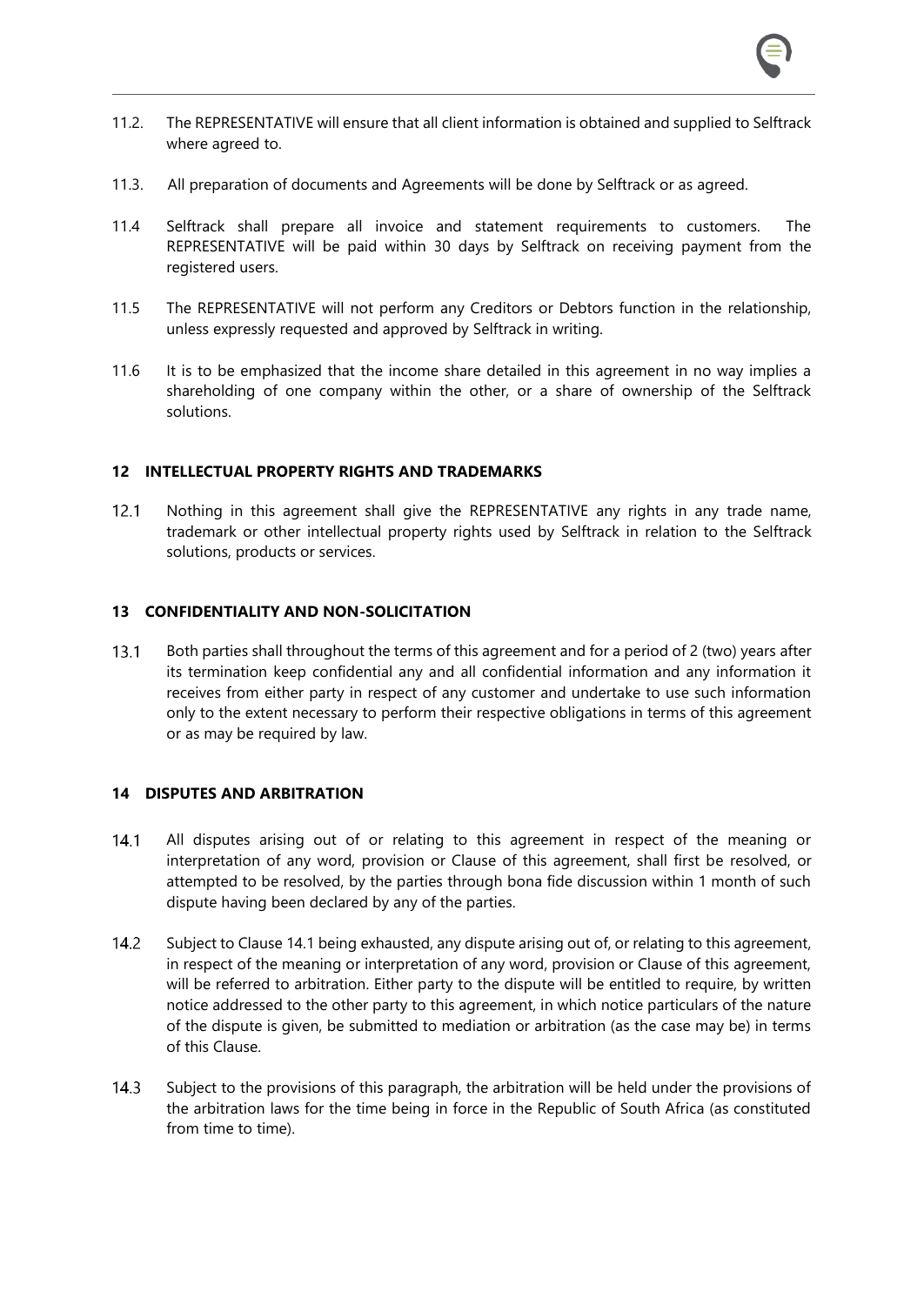- 11.2. The REPRESENTATIVE will ensure that all client information is obtained and supplied to Selftrack where agreed to.
- 11.3. All preparation of documents and Agreements will be done by Selftrack or as agreed.
- 11.4 Selftrack shall prepare all invoice and statement requirements to customers. The REPRESENTATIVE will be paid within 30 days by Selftrack on receiving payment from the registered users.
- 11.5 The REPRESENTATIVE will not perform any Creditors or Debtors function in the relationship, unless expressly requested and approved by Selftrack in writing.
- 11.6 It is to be emphasized that the income share detailed in this agreement in no way implies a shareholding of one company within the other, or a share of ownership of the Selftrack solutions.

#### **12 INTELLECTUAL PROPERTY RIGHTS AND TRADEMARKS**

Nothing in this agreement shall give the REPRESENTATIVE any rights in any trade name,  $12.1$ trademark or other intellectual property rights used by Selftrack in relation to the Selftrack solutions, products or services.

#### **13 CONFIDENTIALITY AND NON-SOLICITATION**

 $13.1$ Both parties shall throughout the terms of this agreement and for a period of 2 (two) years after its termination keep confidential any and all confidential information and any information it receives from either party in respect of any customer and undertake to use such information only to the extent necessary to perform their respective obligations in terms of this agreement or as may be required by law.

#### **14 DISPUTES AND ARBITRATION**

- $14.1$ All disputes arising out of or relating to this agreement in respect of the meaning or interpretation of any word, provision or Clause of this agreement, shall first be resolved, or attempted to be resolved, by the parties through bona fide discussion within 1 month of such dispute having been declared by any of the parties.
- $14.2$ Subject to Claus[e 14.1](#page--1-0) being exhausted, any dispute arising out of, or relating to this agreement, in respect of the meaning or interpretation of any word, provision or Clause of this agreement, will be referred to arbitration. Either party to the dispute will be entitled to require, by written notice addressed to the other party to this agreement, in which notice particulars of the nature of the dispute is given, be submitted to mediation or arbitration (as the case may be) in terms of this Clause.
- $14.3$ Subject to the provisions of this paragraph, the arbitration will be held under the provisions of the arbitration laws for the time being in force in the Republic of South Africa (as constituted from time to time).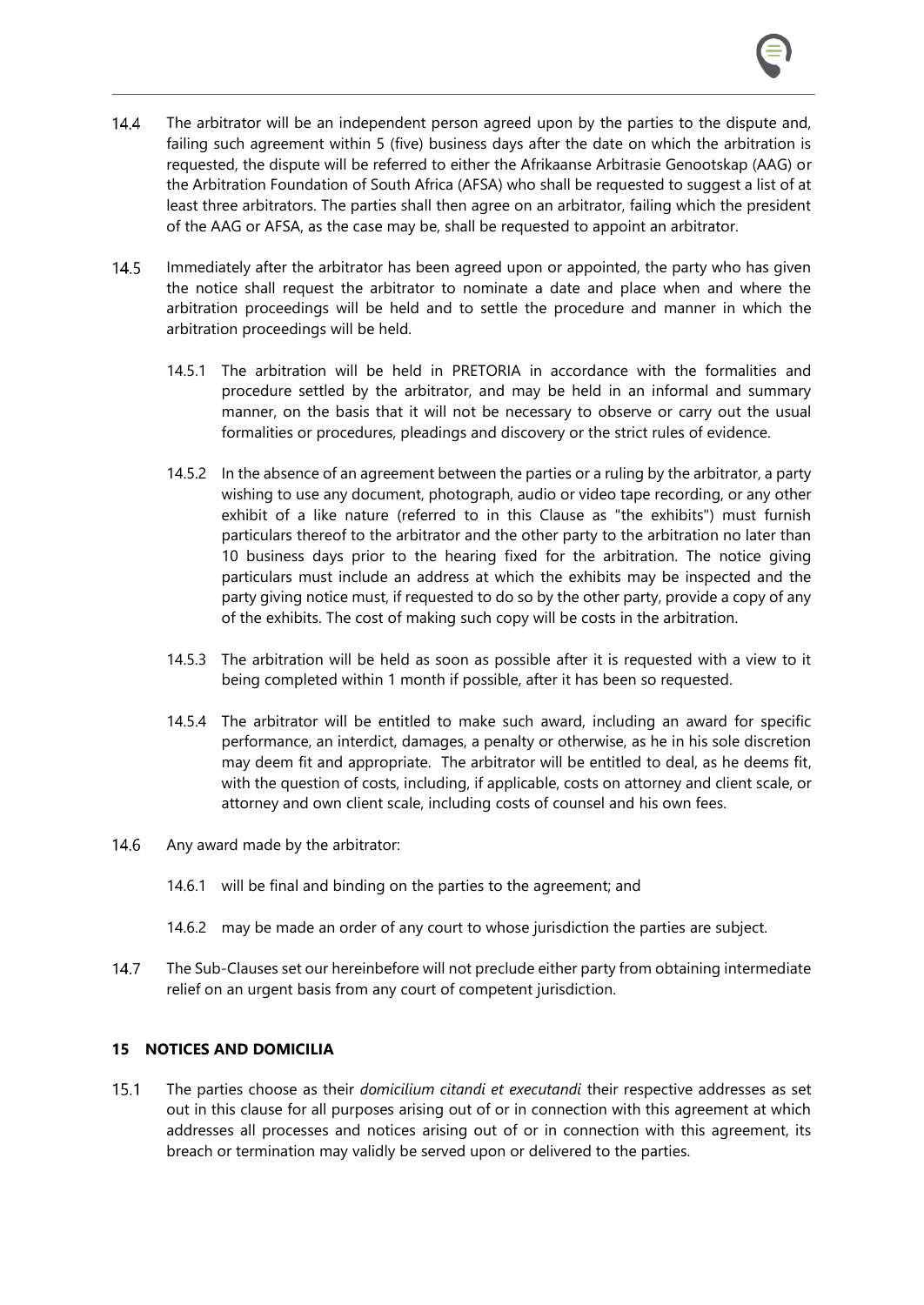- $14.4$ The arbitrator will be an independent person agreed upon by the parties to the dispute and, failing such agreement within 5 (five) business days after the date on which the arbitration is requested, the dispute will be referred to either the Afrikaanse Arbitrasie Genootskap (AAG) or the Arbitration Foundation of South Africa (AFSA) who shall be requested to suggest a list of at least three arbitrators. The parties shall then agree on an arbitrator, failing which the president of the AAG or AFSA, as the case may be, shall be requested to appoint an arbitrator.
- $14.5$ Immediately after the arbitrator has been agreed upon or appointed, the party who has given the notice shall request the arbitrator to nominate a date and place when and where the arbitration proceedings will be held and to settle the procedure and manner in which the arbitration proceedings will be held.
	- 14.5.1 The arbitration will be held in PRETORIA in accordance with the formalities and procedure settled by the arbitrator, and may be held in an informal and summary manner, on the basis that it will not be necessary to observe or carry out the usual formalities or procedures, pleadings and discovery or the strict rules of evidence.
	- 14.5.2 In the absence of an agreement between the parties or a ruling by the arbitrator, a party wishing to use any document, photograph, audio or video tape recording, or any other exhibit of a like nature (referred to in this Clause as "the exhibits") must furnish particulars thereof to the arbitrator and the other party to the arbitration no later than 10 business days prior to the hearing fixed for the arbitration. The notice giving particulars must include an address at which the exhibits may be inspected and the party giving notice must, if requested to do so by the other party, provide a copy of any of the exhibits. The cost of making such copy will be costs in the arbitration.
	- 14.5.3 The arbitration will be held as soon as possible after it is requested with a view to it being completed within 1 month if possible, after it has been so requested.
	- 14.5.4 The arbitrator will be entitled to make such award, including an award for specific performance, an interdict, damages, a penalty or otherwise, as he in his sole discretion may deem fit and appropriate. The arbitrator will be entitled to deal, as he deems fit, with the question of costs, including, if applicable, costs on attorney and client scale, or attorney and own client scale, including costs of counsel and his own fees.
- $14.6$ Any award made by the arbitrator:
	- 14.6.1 will be final and binding on the parties to the agreement; and
	- 14.6.2 may be made an order of any court to whose jurisdiction the parties are subject.
- $14.7$ The Sub-Clauses set our hereinbefore will not preclude either party from obtaining intermediate relief on an urgent basis from any court of competent jurisdiction.

#### **15 NOTICES AND DOMICILIA**

 $15.1$ The parties choose as their *domicilium citandi et executandi* their respective addresses as set out in this clause for all purposes arising out of or in connection with this agreement at which addresses all processes and notices arising out of or in connection with this agreement, its breach or termination may validly be served upon or delivered to the parties.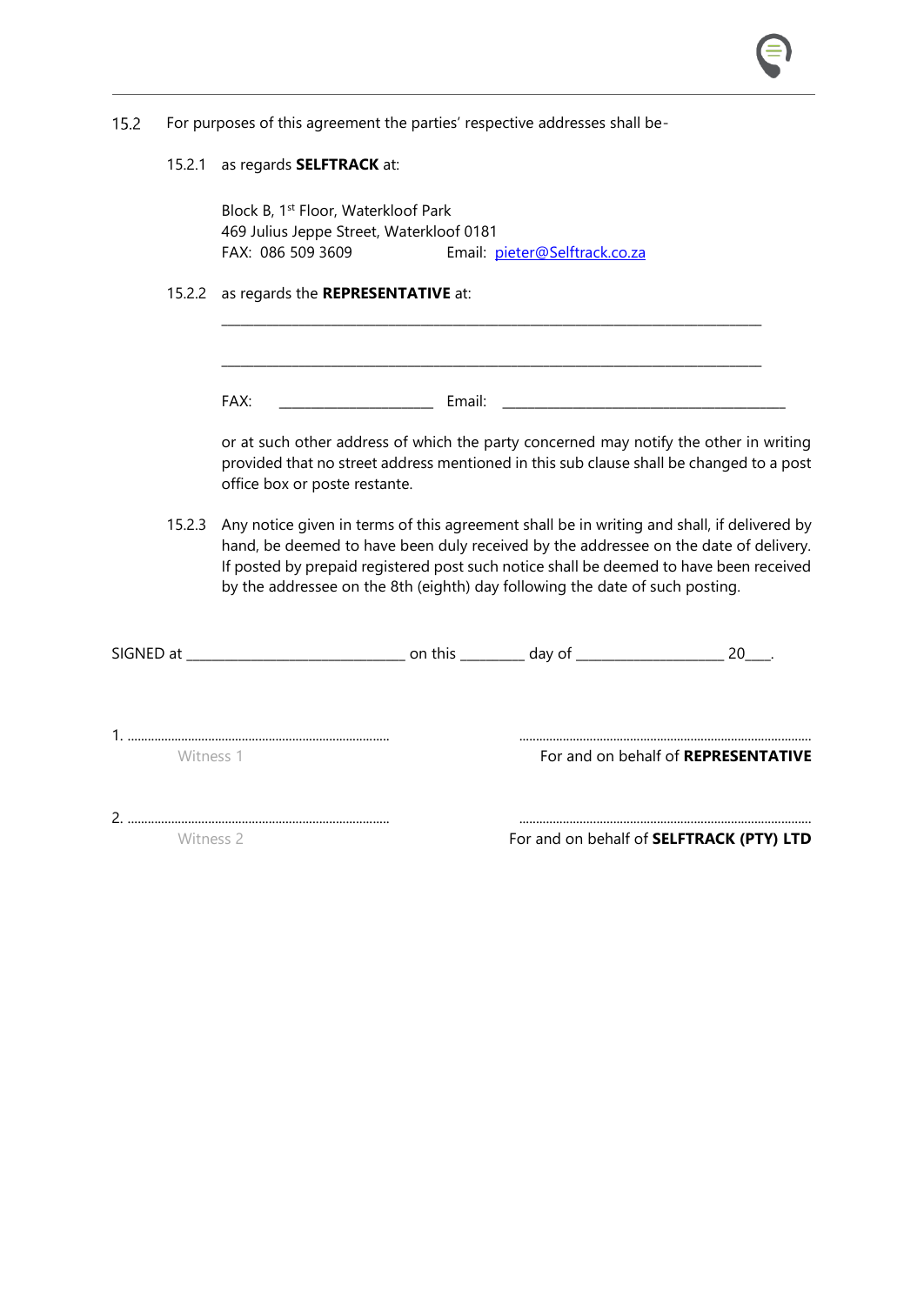|  |  | 15.2 For purposes of this agreement the parties' respective addresses shall be- |
|--|--|---------------------------------------------------------------------------------|
|  |  |                                                                                 |

15.2.1 as regards **SELFTRACK** at:

Block B, 1st Floor, Waterkloof Park 469 Julius Jeppe Street, Waterkloof 0181 FAX: 086 509 3609 Email: [pieter@Selftrack.co.za](mailto:pieter@selftrack.co.za)

15.2.2 as regards the **REPRESENTATIVE** at:

FAX: \_\_\_\_\_\_\_\_\_\_\_\_\_\_\_\_\_\_\_\_\_\_\_\_ Email: \_\_\_\_\_\_\_\_\_\_\_\_\_\_\_\_\_\_\_\_\_\_\_\_\_\_\_\_\_\_\_\_\_\_\_\_\_\_\_\_\_\_\_\_

or at such other address of which the party concerned may notify the other in writing provided that no street address mentioned in this sub clause shall be changed to a post office box or poste restante.

15.2.3 Any notice given in terms of this agreement shall be in writing and shall, if delivered by hand, be deemed to have been duly received by the addressee on the date of delivery. If posted by prepaid registered post such notice shall be deemed to have been received by the addressee on the 8th (eighth) day following the date of such posting.

\_\_\_\_\_\_\_\_\_\_\_\_\_\_\_\_\_\_\_\_\_\_\_\_\_\_\_\_\_\_\_\_\_\_\_\_\_\_\_\_\_\_\_\_\_\_\_\_\_\_\_\_\_\_\_\_\_\_\_\_\_\_\_\_\_\_\_\_\_\_\_\_\_\_\_\_\_\_\_\_\_\_\_\_

\_\_\_\_\_\_\_\_\_\_\_\_\_\_\_\_\_\_\_\_\_\_\_\_\_\_\_\_\_\_\_\_\_\_\_\_\_\_\_\_\_\_\_\_\_\_\_\_\_\_\_\_\_\_\_\_\_\_\_\_\_\_\_\_\_\_\_\_\_\_\_\_\_\_\_\_\_\_\_\_\_\_\_\_

| SIGNED at |  | 20                                  |
|-----------|--|-------------------------------------|
| Witness 1 |  | For and on behalf of REPRESENTATIVE |
|           |  |                                     |

Witness 2 **For and on behalf of <b>SELFTRACK** (PTY) LTD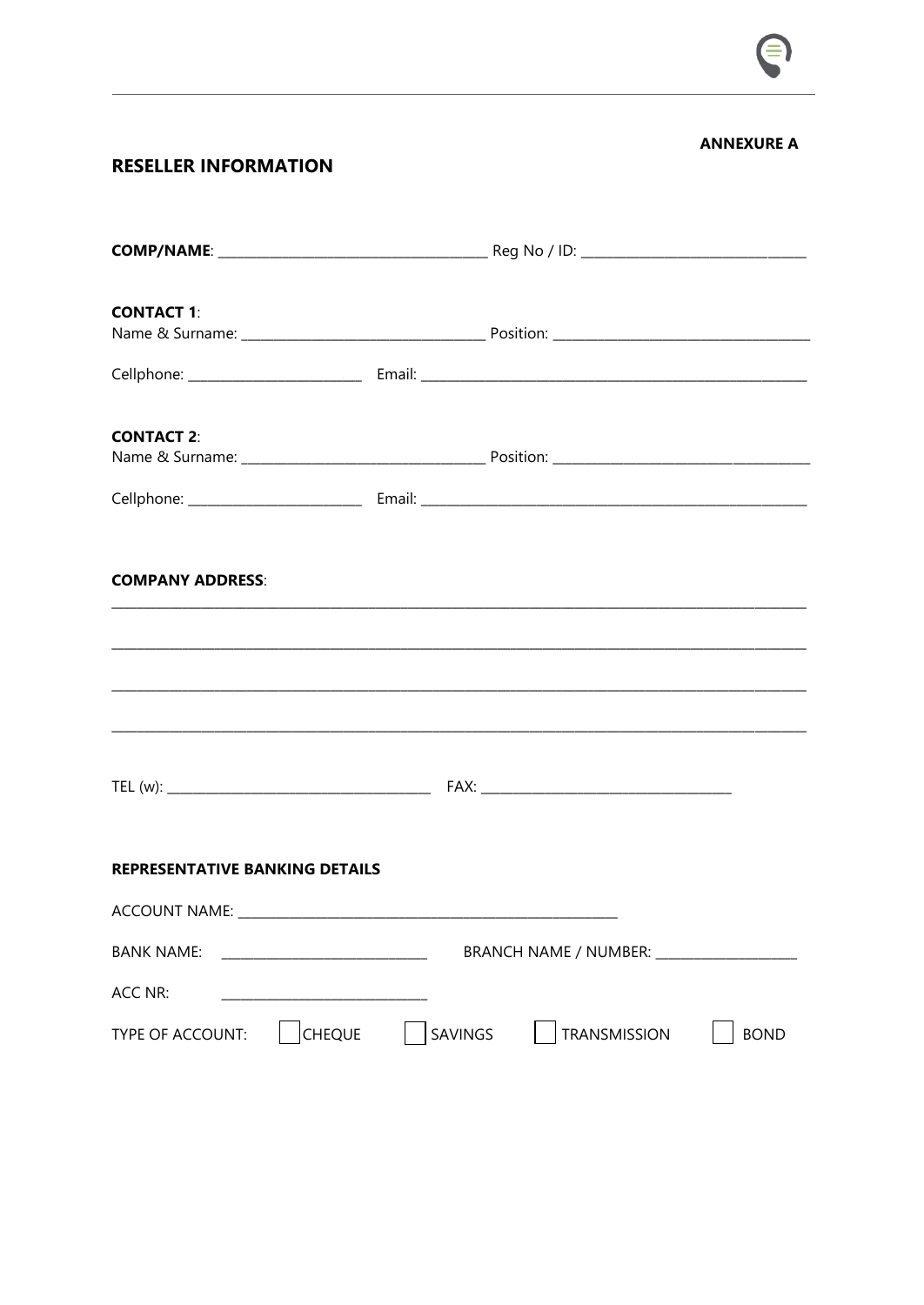

#### **ANNEXURE A**

#### **RESELLER INFORMATION**

| <b>CONTACT 1:</b>                                                                                                     |                |                                             |             |
|-----------------------------------------------------------------------------------------------------------------------|----------------|---------------------------------------------|-------------|
|                                                                                                                       |                |                                             |             |
| <b>CONTACT 2:</b>                                                                                                     |                |                                             |             |
|                                                                                                                       |                |                                             |             |
| <b>COMPANY ADDRESS:</b>                                                                                               |                |                                             |             |
| <u> 1989 - Johann Stoff, deutscher Stoff, der Stoff, der Stoff, der Stoff, der Stoff, der Stoff, der Stoff, der S</u> |                |                                             |             |
|                                                                                                                       |                |                                             |             |
| <b>REPRESENTATIVE BANKING DETAILS</b>                                                                                 |                |                                             |             |
|                                                                                                                       |                |                                             |             |
| <b>BANK NAME:</b>                                                                                                     |                | BRANCH NAME / NUMBER: _____________________ |             |
| ACC NR:                                                                                                               |                |                                             |             |
| <b>CHEQUE</b><br>TYPE OF ACCOUNT:                                                                                     | <b>SAVINGS</b> | <b>TRANSMISSION</b>                         | <b>BOND</b> |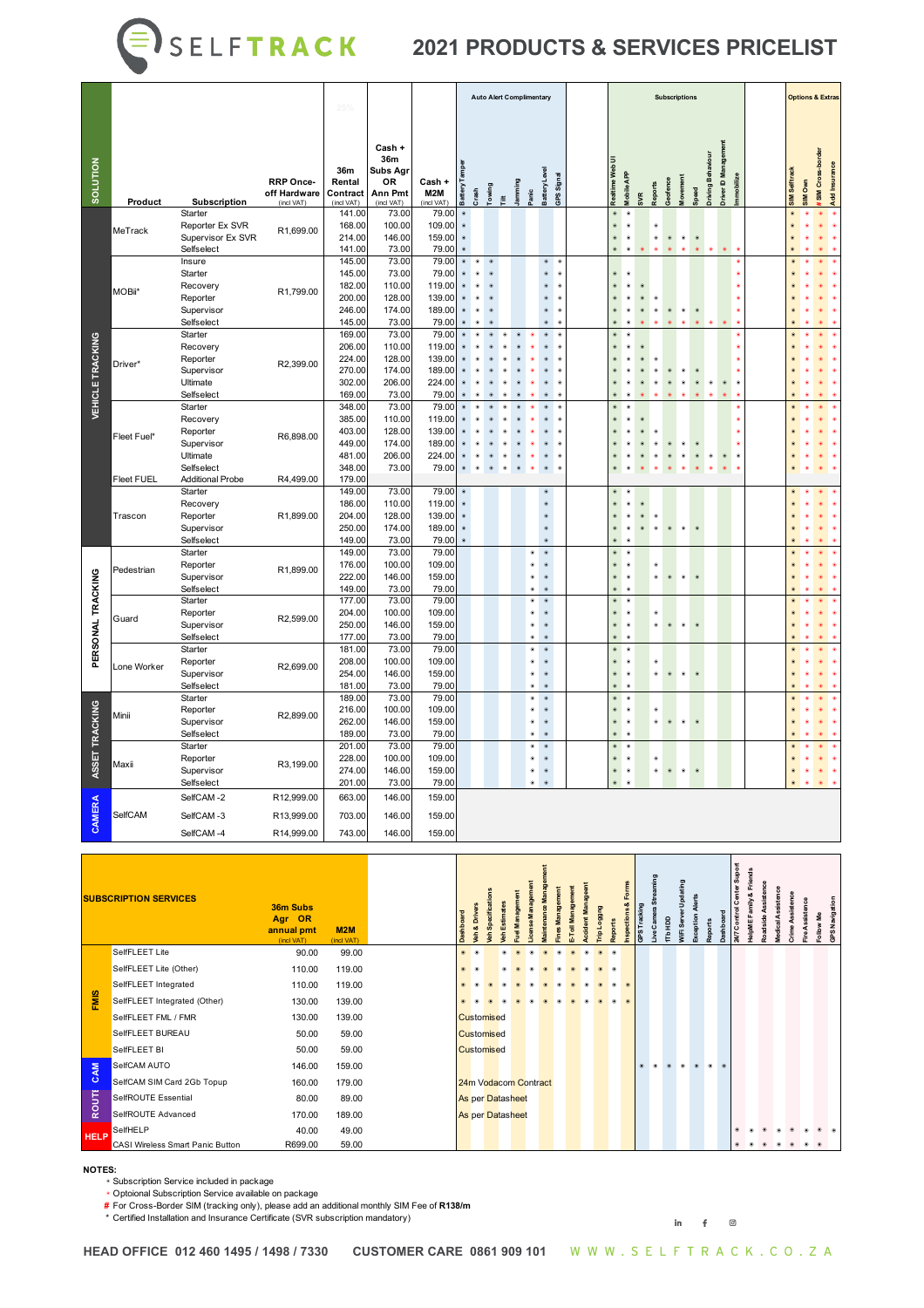# **3** S E L F **T R A C K** 2021 PRODUCTS & SERVICES PRICELIST

|                         |                   |                                                                         |                                                | 25%                                                      |                                                                 |                                                        |                        |           |              |   | <b>Auto Alert Complimentary</b> |                                                                                                    |                                                       |                             |                                                   |      |         | <b>Subscriptions</b> |               |                                         |                                     |               | <b>Options &amp; Extras</b> |                 |               |
|-------------------------|-------------------|-------------------------------------------------------------------------|------------------------------------------------|----------------------------------------------------------|-----------------------------------------------------------------|--------------------------------------------------------|------------------------|-----------|--------------|---|---------------------------------|----------------------------------------------------------------------------------------------------|-------------------------------------------------------|-----------------------------|---------------------------------------------------|------|---------|----------------------|---------------|-----------------------------------------|-------------------------------------|---------------|-----------------------------|-----------------|---------------|
| SOLUTION                | Product           | Subscription                                                            | <b>RRP Once-</b><br>off Hardware<br>(incl VAT) | 36m<br>Rental<br>Contract<br>(incl VAT)                  | Cash +<br>36m<br>Subs Agr<br>0R<br><b>Ann Pmt</b><br>(incl VAT) | Cash +<br>M2M<br>(incl VAT)                            | attery                 | Crash     | <b>Bujue</b> | 差 | amming<br>anic                  | <b>Battery Level</b>                                                                               | GPSSignal                                             | Realtime Web                | <b>Iobile APP</b>                                 | apor | eofence |                      |               | river ID Management<br>riving Behaviour | mmobilize                           | SIM Selftrack | SIM Own                     | SIM Cross-borde | Add Insurance |
|                         | MeTrack           | Starter<br>Reporter Ex SVR<br>Supervisor Ex SVR<br>Selfselect           | R1,699.00                                      | 141.00<br>168.00<br>214.00<br>141.00                     | 73.00<br>100.00<br>146.00<br>73.00                              | 79.00<br>109.00<br>159.00<br>79.00                     |                        |           |              |   |                                 |                                                                                                    |                                                       | $\bullet$                   | $\infty$                                          | ۰    |         | ۰                    | $\circledast$ | $\bullet$                               |                                     |               |                             |                 |               |
|                         | MOBii*            | Insure<br>Starter<br>Recovery<br>Reporter<br>Supervisor<br>Selfselect   | R1,799.00                                      | 145.00<br>145.00<br>182.00<br>200.00<br>246.00<br>145.00 | 73.00<br>73.00<br>110.00<br>128.00<br>174.00<br>73.00           | 79.00<br>79.00<br>119.00<br>139.00<br>189.00<br>79.00  | $\qquad \qquad \circ$  | $\bullet$ |              |   |                                 | œ                                                                                                  | $^{\circ}$<br>¢<br>¢<br>œ<br>¢<br>۰<br>$\bullet$<br>۰ |                             |                                                   |      |         |                      |               |                                         |                                     |               |                             |                 |               |
| <b>VEHICLE TRACKING</b> | Driver*           | Starter<br>Recovery<br>Reporter<br>Supervisor<br>Ultimate<br>Selfselect | R2,399.00                                      | 169.00<br>206.00<br>224.00<br>270.00<br>302.00<br>169.00 | 73.00<br>110.00<br>128.00<br>174.00<br>206.00<br>73.00          | 79.00<br>119.00<br>139.00<br>189.00<br>224.00<br>79.00 |                        |           |              |   | ۰                               |                                                                                                    | $\bullet$<br>¢<br>¢<br>¢<br>¢<br>¢                    |                             |                                                   |      |         |                      | $\bullet$     | ۰                                       | $\bullet$<br>$\bullet$<br>$\bullet$ |               |                             |                 |               |
|                         | Fleet Fuel*       | Starter<br>Recovery<br>Reporter<br>Supervisor<br>Ultimate<br>Selfselect | R6,898.00                                      | 348.00<br>385.00<br>403.00<br>449.00<br>481.00<br>348.00 | 73.00<br>110.00<br>128.00<br>174.00<br>206.00<br>73.00          | 79.00<br>119.00<br>139.00<br>189.00<br>224.00<br>79.00 |                        |           |              |   |                                 | $\bullet$                                                                                          | ۰<br>¢<br>ø                                           |                             |                                                   |      |         |                      |               |                                         |                                     |               |                             |                 |               |
|                         | <b>Fleet FUEL</b> | <b>Additional Probe</b><br>Starter<br>Recovery                          | R4,499.00                                      | 179.00<br>149.00<br>186.00                               | 73.00<br>110.00                                                 | 79.00<br>119.00                                        | $\bullet$<br>$\bullet$ |           |              |   |                                 |                                                                                                    | $^{\circ}$<br>×                                       |                             |                                                   |      |         |                      |               |                                         |                                     |               |                             |                 |               |
|                         | Trascon           | Reporter<br>Supervisor<br>Selfselect                                    | R1,899.00                                      | 204.00<br>250.00<br>149.00                               | 128.00<br>174.00<br>73.00                                       | 139.00<br>189.00<br>79.00                              | $\bullet$<br>$\bullet$ |           |              |   |                                 | $\bullet$<br>ø                                                                                     | $\bullet$                                             |                             |                                                   |      |         |                      |               |                                         |                                     |               |                             |                 |               |
|                         | Pedestrian        | Starter<br>Reporter<br>Supervisor<br>Selfselect                         | R1,899.00                                      | 149.00<br>176.00<br>222.00<br>149.00                     | 73.00<br>100.00<br>146.00<br>73.00                              | 79.00<br>109.00<br>159.00<br>79.00                     |                        |           |              |   |                                 | $\bullet$<br>$\bullet$<br>$\circledast$<br>$\bullet$                                               | $\circledast$                                         | $\bullet$<br>$\bullet$      | $\circ$                                           | œ.   |         | $\bullet$            | $\bullet$     |                                         |                                     |               |                             |                 |               |
| PERSONAL TRACKING       | Guard             | Starter<br>Reporter<br>Supervisor<br>Selfselect                         | R2,599.00                                      | 177.00<br>204.00<br>250.00<br>177.00                     | 73.00<br>100.00<br>146.00<br>73.00                              | 79.00<br>109.00<br>159.00<br>79.00                     |                        |           |              |   |                                 | $^{\circ}$<br>$\bullet$<br>$\circ$<br>$\bullet$<br>۰<br>$\bullet$<br>۰                             | $\circledast$                                         | $\bullet$<br>۰<br>ø.        | $\bullet$<br>$\bullet$<br>$\bullet$<br>$\circ$    | ø.   | $\circ$ | $\bullet$            | $\bullet$     |                                         |                                     |               |                             |                 |               |
|                         | Lone Worker       | Starter<br>Reporter<br>Supervisor<br>Selfselect                         | R2,699.00                                      | 181.00<br>208.00<br>254.00<br>181.00                     | 73.00<br>100.00<br>146.00<br>73.00                              | 79.00<br>109.00<br>159.00<br>79.00                     |                        |           |              |   |                                 | $\circledast$<br>$\bullet$<br>$\circ$<br>$\bullet$<br>$\bullet$<br>$\circ$<br>$\bullet$<br>$\circ$ |                                                       | ۰<br>۰<br>۰<br>œ.           | $\bullet$<br>$\bullet$<br>$^{\circ}$<br>$\bullet$ | œ    |         | $\bullet$            | $\bullet$     |                                         |                                     |               |                             |                 |               |
| ASSET TRACKING          | Minii             | Starter<br>Reporter<br>Supervisor<br>Selfselect                         | R2,899.00                                      | 189.00<br>216.00<br>262.00<br>189.00                     | 73.00<br>100.00<br>146.00<br>73.00                              | 79.00<br>109.00<br>159.00<br>79.00                     |                        |           |              |   |                                 | ۰<br>$\bullet$<br>$^{\circ}$<br>$\bullet$<br>$^{\circ}$<br>$\bullet$<br>$\infty$                   | $\circledast$                                         | $\qquad \qquad \circ$<br>œ. | $\alpha$<br>$^{\circ}$<br>œ.                      |      |         |                      |               |                                         |                                     |               |                             |                 |               |
|                         | Maxii             | Starter<br>Reporter<br>Supervisor<br>Selfselect                         | R3,199.00                                      | 201.00<br>228.00<br>274.00<br>201.00                     | 73.00<br>100.00<br>146.00<br>73.00                              | 79.00<br>109.00<br>159.00<br>79.00                     |                        |           |              |   |                                 | $\bullet$<br>$^{\circ}$<br>$\bullet$<br>$\circledast$<br>$^{\circ}$<br>$\bullet$<br>$\alpha$       |                                                       | $\bullet$<br>۰              | $\circ$<br>$\bullet$<br>$^{\circ}$                |      |         | ۰                    |               |                                         |                                     |               |                             |                 |               |
| CAMERA                  | SelfCAM           | SelfCAM-2<br>SelfCAM-3                                                  | R12,999.00<br>R13,999.00                       | 663.00<br>703.00                                         | 146.00<br>146.00                                                | 159.00<br>159.00                                       |                        |           |              |   |                                 |                                                                                                    |                                                       |                             |                                                   |      |         |                      |               |                                         |                                     |               |                             |                 |               |
|                         |                   | SelfCAM-4                                                               | R14,999.00                                     | 743.00                                                   | 146.00                                                          | 159.00                                                 |                        |           |              |   |                                 |                                                                                                    |                                                       |                             |                                                   |      |         |                      |               |                                         |                                     |               |                             |                 |               |

| <b>TRACKING</b> | Minii                                          | Reporter<br>Supervisor<br>Selfselect            | R2,899.00                                               | 216.00<br>262.00<br>189.00           | 100.00<br>146.00<br>73.00          | 109.00<br>159.00<br>79.00          |                             |                                                              |                      |                | $\circledast$<br>$\circledast$<br>$\circledast$                           | $\circ$<br>$\circ$<br>$\circ$              |                   |                           |                          | $\circledast$<br>$\circledast$<br>$\circledast$ | $^\circledR$<br>$\circledast$<br>$^\circledR$                    |              | $\bullet$<br>۰                          | $\circledast$        | $\bullet$<br>$\circ$    |                |           |                            |                         |                     |                    |                  |                              |                       |
|-----------------|------------------------------------------------|-------------------------------------------------|---------------------------------------------------------|--------------------------------------|------------------------------------|------------------------------------|-----------------------------|--------------------------------------------------------------|----------------------|----------------|---------------------------------------------------------------------------|--------------------------------------------|-------------------|---------------------------|--------------------------|-------------------------------------------------|------------------------------------------------------------------|--------------|-----------------------------------------|----------------------|-------------------------|----------------|-----------|----------------------------|-------------------------|---------------------|--------------------|------------------|------------------------------|-----------------------|
| ASSET           | Maxii                                          | Starter<br>Reporter<br>Supervisor<br>Selfselect | R3,199.00                                               | 201.00<br>228.00<br>274.00<br>201.00 | 73.00<br>100.00<br>146.00<br>73.00 | 79.00<br>109.00<br>159.00<br>79.00 |                             |                                                              |                      |                | $^{\circ}$<br>$\circledast$<br>۰<br>$\circledast$<br>$\circ$<br>$\bullet$ | $\bullet$<br>$\circledast$                 |                   |                           |                          | $\bullet$<br>$\circledast$                      | $\circ$ $\circ$<br>$^{\circ}$<br>$^\circledR$<br>$\circ$ $\circ$ |              | ۰<br>۰                                  | $\circledast$        | $\circ$ $\circ$         |                |           |                            |                         |                     |                    |                  |                              | - 68                  |
|                 |                                                | SelfCAM-2                                       | R12,999.00                                              | 663.00                               | 146.00                             | 159.00                             |                             |                                                              |                      |                |                                                                           |                                            |                   |                           |                          |                                                 |                                                                  |              |                                         |                      |                         |                |           |                            |                         |                     |                    |                  |                              |                       |
| CAMERA          | SelfCAM                                        | SelfCAM-3                                       | R13,999.00                                              | 703.00                               | 146.00                             | 159.00                             |                             |                                                              |                      |                |                                                                           |                                            |                   |                           |                          |                                                 |                                                                  |              |                                         |                      |                         |                |           |                            |                         |                     |                    |                  |                              |                       |
|                 |                                                | SelfCAM-4                                       | R14,999.00                                              | 743.00                               | 146.00                             | 159.00                             |                             |                                                              |                      |                |                                                                           |                                            |                   |                           |                          |                                                 |                                                                  |              |                                         |                      |                         |                |           |                            |                         |                     |                    |                  |                              |                       |
|                 | <b>SUBSCRIPTION SERVICES</b>                   |                                                 | 36m Subs<br>Agr OR<br>annual pmt<br>(incl VAT)<br>90.00 | M2M<br>(incl VAT)                    |                                    |                                    | Dashboard<br>$\circledcirc$ | Specificatio<br>Veh & Drivers<br>$\frac{1}{2}$<br>$^{\circ}$ | <b>/eh Estimates</b> | uel Management | Management<br>cense                                                       | Maintenance Management<br>Fines Management | E-Toll Management | <b>Accident Manageent</b> | Trip Loggng<br>$\bullet$ | <b>Reports</b><br>$\circledast$                 | Inspections & Forms                                              | GPS Tracking | Live Camera Streaming<br><b>TTb HDD</b> | WiFi Server Updating | <b>Exception Alerts</b> | <b>Reports</b> | Dashboard | 24/7 Control Center Suport | HelpME Family & Friends | Roadside Assistence | Medical Assistence | Crime Assistence | Fire Assistence<br>Follow Me | <b>GPS Navigation</b> |
|                 |                                                |                                                 |                                                         |                                      |                                    |                                    |                             |                                                              |                      |                |                                                                           |                                            |                   |                           |                          |                                                 |                                                                  |              |                                         |                      |                         |                |           |                            |                         |                     |                    |                  |                              |                       |
|                 | SelfFLEET Lite                                 |                                                 |                                                         | 99.00                                |                                    |                                    | $\circledcirc$              |                                                              |                      |                |                                                                           |                                            |                   |                           |                          |                                                 |                                                                  |              |                                         |                      |                         |                |           |                            |                         |                     |                    |                  |                              |                       |
|                 | SelfFLEET Lite (Other)<br>SelfFLEET Integrated |                                                 | 110.00<br>110.00                                        | 119.00<br>119.00                     |                                    |                                    |                             |                                                              |                      |                |                                                                           |                                            |                   |                           |                          |                                                 |                                                                  |              |                                         |                      |                         |                |           |                            |                         |                     |                    |                  |                              |                       |
|                 | SelfFLEET Integrated (Other)                   |                                                 | 130.00                                                  | 139.00                               |                                    |                                    | $\circledcirc$              |                                                              |                      |                |                                                                           |                                            |                   |                           |                          |                                                 |                                                                  |              |                                         |                      |                         |                |           |                            |                         |                     |                    |                  |                              |                       |
| FMIS            | SelfFLEET FML / FMR                            |                                                 | 130.00                                                  | 139.00                               |                                    |                                    |                             | Customised                                                   |                      |                |                                                                           |                                            |                   |                           |                          |                                                 |                                                                  |              |                                         |                      |                         |                |           |                            |                         |                     |                    |                  |                              |                       |
|                 | SelfFLEET BUREAU                               |                                                 | 50.00                                                   | 59.00                                |                                    |                                    |                             | Customised                                                   |                      |                |                                                                           |                                            |                   |                           |                          |                                                 |                                                                  |              |                                         |                      |                         |                |           |                            |                         |                     |                    |                  |                              |                       |
|                 | SelfFLEET BI                                   |                                                 | 50.00                                                   | 59.00                                |                                    |                                    |                             | Customised                                                   |                      |                |                                                                           |                                            |                   |                           |                          |                                                 |                                                                  |              |                                         |                      |                         |                |           |                            |                         |                     |                    |                  |                              |                       |
|                 | SelfCAM AUTO                                   |                                                 | 146.00                                                  | 159.00                               |                                    |                                    |                             |                                                              |                      |                |                                                                           |                                            |                   |                           |                          |                                                 |                                                                  | ۵            |                                         |                      |                         |                |           |                            |                         |                     |                    |                  |                              |                       |
| $\frac{1}{2}$   |                                                | SelfCAM SIM Card 2Gb Topup                      | 160.00                                                  | 179.00                               |                                    |                                    |                             | 24m Vodacom Contract                                         |                      |                |                                                                           |                                            |                   |                           |                          |                                                 |                                                                  |              |                                         |                      |                         |                |           |                            |                         |                     |                    |                  |                              |                       |
|                 | SelfROUTE Essential                            |                                                 | 80.00                                                   | 89.00                                |                                    |                                    |                             | As per Datasheet                                             |                      |                |                                                                           |                                            |                   |                           |                          |                                                 |                                                                  |              |                                         |                      |                         |                |           |                            |                         |                     |                    |                  |                              |                       |
| ROUTE           | SelfROUTE Advanced                             |                                                 | 170.00                                                  | 189.00                               |                                    |                                    |                             | As per Datasheet                                             |                      |                |                                                                           |                                            |                   |                           |                          |                                                 |                                                                  |              |                                         |                      |                         |                |           |                            |                         |                     |                    |                  |                              |                       |
| <b>HELP</b>     | SelfHELP                                       |                                                 | 40.00<br>R699.00                                        | 49.00<br>59.00                       |                                    |                                    |                             |                                                              |                      |                |                                                                           |                                            |                   |                           |                          |                                                 |                                                                  |              |                                         |                      |                         |                |           |                            |                         |                     |                    |                  |                              |                       |

#### **NOTES:**

◉ Subscription Service included in package

◉ Optoional Subscription Service available on package **#** For Cross-Border SIM (tracking only), please add an additional monthly SIM Fee of **R138/m**

\* The Cross Detact Differently and  $\mu$  is the Certificate (SVR subscription mandatory)

**in f @**